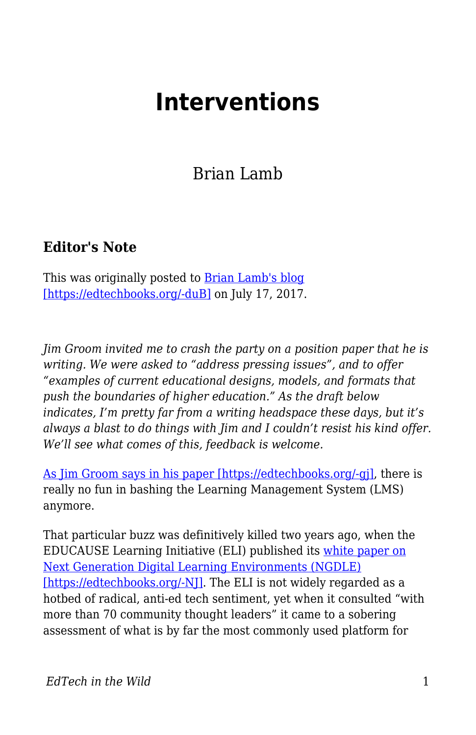## **Interventions**

Brian Lamb

## **Editor's Note**

This was originally posted to [Brian Lamb's blog](https://abject.ca/interventions/) [\[https://edtechbooks.org/-duB\]](https://abject.ca/interventions/) on July 17, 2017.

*Jim Groom invited me to crash the party on a position paper that he is writing. We were asked to "address pressing issues", and to offer "examples of current educational designs, models, and formats that push the boundaries of higher education." As the draft below indicates, I'm pretty far from a writing headspace these days, but it's always a blast to do things with Jim and I couldn't resist his kind offer. We'll see what comes of this, feedback is welcome.*

[As Jim Groom says in his paper \[https://edtechbooks.org/-gj\]](http://bavatuesdays.com/the-lms-is-dead-not-unlike-god-thoughts-on-the-ngdle/), there is really no fun in bashing the Learning Management System (LMS) anymore.

That particular buzz was definitively killed two years ago, when the EDUCAUSE Learning Initiative (ELI) published its [white paper on](http://library.educause.edu/~/media/files/library/2015/4/eli3035-pdf.pdf) [Next Generation Digital Learning Environments \(NGDLE\)](http://library.educause.edu/~/media/files/library/2015/4/eli3035-pdf.pdf) [\[https://edtechbooks.org/-NJ\].](http://library.educause.edu/~/media/files/library/2015/4/eli3035-pdf.pdf) The ELI is not widely regarded as a hotbed of radical, anti-ed tech sentiment, yet when it consulted "with more than 70 community thought leaders" it came to a sobering assessment of what is by far the most commonly used platform for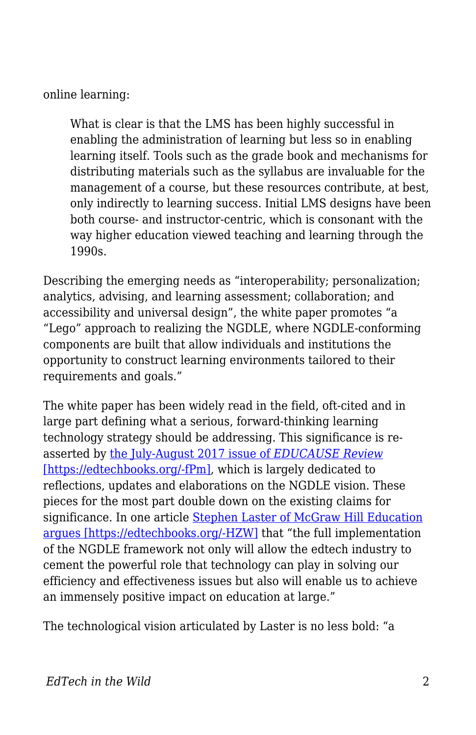online learning:

What is clear is that the LMS has been highly successful in enabling the administration of learning but less so in enabling learning itself. Tools such as the grade book and mechanisms for distributing materials such as the syllabus are invaluable for the management of a course, but these resources contribute, at best, only indirectly to learning success. Initial LMS designs have been both course- and instructor-centric, which is consonant with the way higher education viewed teaching and learning through the 1990s.

Describing the emerging needs as "interoperability; personalization; analytics, advising, and learning assessment; collaboration; and accessibility and universal design", the white paper promotes "a "Lego" approach to realizing the NGDLE, where NGDLE-conforming components are built that allow individuals and institutions the opportunity to construct learning environments tailored to their requirements and goals."

The white paper has been widely read in the field, oft-cited and in large part defining what a serious, forward-thinking learning technology strategy should be addressing. This significance is reasserted by [the July-August 2017 issue of](http://er.educause.edu/toc/educause-review-print-edition-volume-52-number-4-july-august-2017) *[EDUCAUSE Review](http://er.educause.edu/toc/educause-review-print-edition-volume-52-number-4-july-august-2017)* [\[https://edtechbooks.org/-fPm\]](http://er.educause.edu/toc/educause-review-print-edition-volume-52-number-4-july-august-2017), which is largely dedicated to reflections, updates and elaborations on the NGDLE vision. These pieces for the most part double down on the existing claims for significance. In one article [Stephen Laster of McGraw Hill Education](http://er.educause.edu/articles/2017/7/tearing-down-walls-to-deliver-on-the-promise-of-edtech) [argues \[https://edtechbooks.org/-HZW\]](http://er.educause.edu/articles/2017/7/tearing-down-walls-to-deliver-on-the-promise-of-edtech) that "the full implementation of the NGDLE framework not only will allow the edtech industry to cement the powerful role that technology can play in solving our efficiency and effectiveness issues but also will enable us to achieve an immensely positive impact on education at large."

The technological vision articulated by Laster is no less bold: "a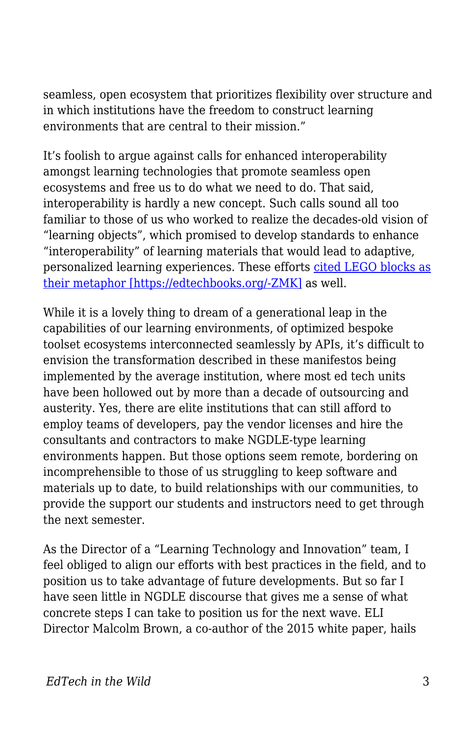seamless, open ecosystem that prioritizes flexibility over structure and in which institutions have the freedom to construct learning environments that are central to their mission."

It's foolish to argue against calls for enhanced interoperability amongst learning technologies that promote seamless open ecosystems and free us to do what we need to do. That said, interoperability is hardly a new concept. Such calls sound all too familiar to those of us who worked to realize the decades-old vision of "learning objects", which promised to develop standards to enhance "interoperability" of learning materials that would lead to adaptive, personalized learning experiences. These efforts [cited LEGO blocks as](http://www.cjlt.ca/index.php/cjlt/article/view/26572/19754) [their metaphor \[https://edtechbooks.org/-ZMK\]](http://www.cjlt.ca/index.php/cjlt/article/view/26572/19754) as well.

While it is a lovely thing to dream of a generational leap in the capabilities of our learning environments, of optimized bespoke toolset ecosystems interconnected seamlessly by APIs, it's difficult to envision the transformation described in these manifestos being implemented by the average institution, where most ed tech units have been hollowed out by more than a decade of outsourcing and austerity. Yes, there are elite institutions that can still afford to employ teams of developers, pay the vendor licenses and hire the consultants and contractors to make NGDLE-type learning environments happen. But those options seem remote, bordering on incomprehensible to those of us struggling to keep software and materials up to date, to build relationships with our communities, to provide the support our students and instructors need to get through the next semester.

As the Director of a "Learning Technology and Innovation" team, I feel obliged to align our efforts with best practices in the field, and to position us to take advantage of future developments. But so far I have seen little in NGDLE discourse that gives me a sense of what concrete steps I can take to position us for the next wave. ELI Director Malcolm Brown, a co-author of the 2015 white paper, hails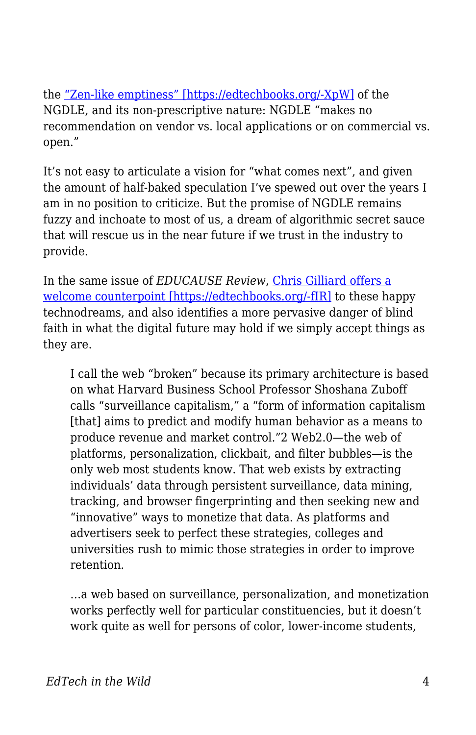the ["Zen-like emptiness" \[https://edtechbooks.org/-XpW\]](http://er.educause.edu/articles/2017/7/the-ngdle-we-are-the-architects) of the NGDLE, and its non-prescriptive nature: NGDLE "makes no recommendation on vendor vs. local applications or on commercial vs. open."

It's not easy to articulate a vision for "what comes next", and given the amount of half-baked speculation I've spewed out over the years I am in no position to criticize. But the promise of NGDLE remains fuzzy and inchoate to most of us, a dream of algorithmic secret sauce that will rescue us in the near future if we trust in the industry to provide.

In the same issue of *EDUCAUSE Review*, [Chris Gilliard offers a](http://er.educause.edu/articles/2017/7/pedagogy-and-the-logic-of-platforms) [welcome counterpoint \[https://edtechbooks.org/-fIR\]](http://er.educause.edu/articles/2017/7/pedagogy-and-the-logic-of-platforms) to these happy technodreams, and also identifies a more pervasive danger of blind faith in what the digital future may hold if we simply accept things as they are.

I call the web "broken" because its primary architecture is based on what Harvard Business School Professor Shoshana Zuboff calls "surveillance capitalism," a "form of information capitalism [that] aims to predict and modify human behavior as a means to produce revenue and market control."2 Web2.0—the web of platforms, personalization, clickbait, and filter bubbles—is the only web most students know. That web exists by extracting individuals' data through persistent surveillance, data mining, tracking, and browser fingerprinting and then seeking new and "innovative" ways to monetize that data. As platforms and advertisers seek to perfect these strategies, colleges and universities rush to mimic those strategies in order to improve retention.

…a web based on surveillance, personalization, and monetization works perfectly well for particular constituencies, but it doesn't work quite as well for persons of color, lower-income students,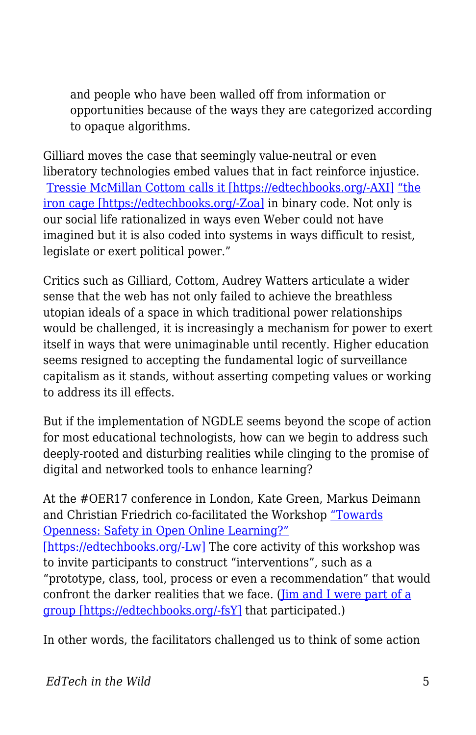and people who have been walled off from information or opportunities because of the ways they are categorized according to opaque algorithms.

Gilliard moves the case that seemingly value-neutral or even liberatory technologies embed values that in fact reinforce injustice. [Tressie McMillan Cottom calls it \[https://edtechbooks.org/-AXI\]](https://tressiemc.com/uncategorized/credit-scores-life-chances-and-algorithms/) ["the](http://academic.udayton.edu/RichardGhere/POL%20307/weber.htm) [iron cage \[https://edtechbooks.org/-Zoa\]](http://academic.udayton.edu/RichardGhere/POL%20307/weber.htm) in binary code. Not only is our social life rationalized in ways even Weber could not have imagined but it is also coded into systems in ways difficult to resist, legislate or exert political power."

Critics such as Gilliard, Cottom, Audrey Watters articulate a wider sense that the web has not only failed to achieve the breathless utopian ideals of a space in which traditional power relationships would be challenged, it is increasingly a mechanism for power to exert itself in ways that were unimaginable until recently. Higher education seems resigned to accepting the fundamental logic of surveillance capitalism as it stands, without asserting competing values or working to address its ill effects.

But if the implementation of NGDLE seems beyond the scope of action for most educational technologists, how can we begin to address such deeply-rooted and disturbing realities while clinging to the promise of digital and networked tools to enhance learning?

At the #OER17 conference in London, Kate Green, Markus Deimann and Christian Friedrich co-facilitated the Workshop ["Towards](https://towards-openness.org/conference-workshops/oer17/) [Openness: Safety in Open Online Learning?"](https://towards-openness.org/conference-workshops/oer17/) [\[https://edtechbooks.org/-Lw\]](https://towards-openness.org/conference-workshops/oer17/) The core activity of this workshop was to invite participants to construct "interventions", such as a "prototype, class, tool, process or even a recommendation" that would confront the darker realities that we face. (*[Jim and I were part of a](http://bavatuesdays.com/towards-open-counter-data-surveillance/)* [group \[https://edtechbooks.org/-fsY\]](http://bavatuesdays.com/towards-open-counter-data-surveillance/) that participated.)

In other words, the facilitators challenged us to think of some action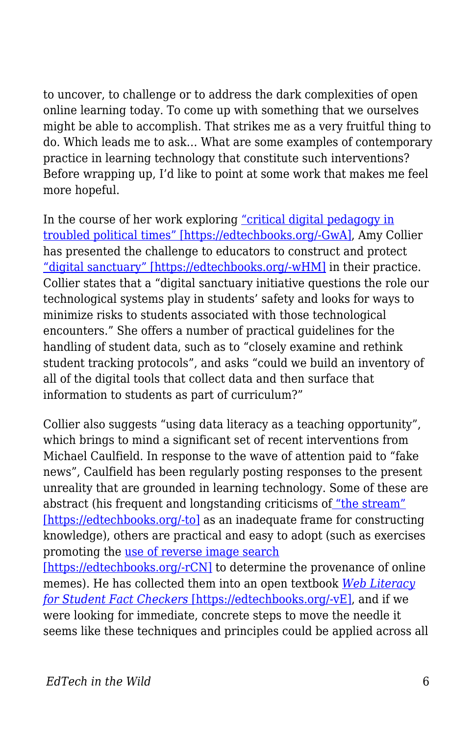to uncover, to challenge or to address the dark complexities of open online learning today. To come up with something that we ourselves might be able to accomplish. That strikes me as a very fruitful thing to do. Which leads me to ask… What are some examples of contemporary practice in learning technology that constitute such interventions? Before wrapping up, I'd like to point at some work that makes me feel more hopeful.

In the course of her work exploring ["critical digital pedagogy in](http://redpincushion.us/blog/i-cant-categorize-this/it-should-be-necessary-to-start-critical-digital-pedagogy-in-troubled-political-times/) [troubled political times" \[https://edtechbooks.org/-GwA\]](http://redpincushion.us/blog/i-cant-categorize-this/it-should-be-necessary-to-start-critical-digital-pedagogy-in-troubled-political-times/), Amy Collier has presented the challenge to educators to construct and protect ["digital sanctuary" \[https://edtechbooks.org/-wHM\]](http://digitallearning.middcreate.net/critical-digital-pedagogy/exploring-digital-sanctuary/) in their practice. Collier states that a "digital sanctuary initiative questions the role our technological systems play in students' safety and looks for ways to minimize risks to students associated with those technological encounters." She offers a number of practical guidelines for the handling of student data, such as to "closely examine and rethink student tracking protocols", and asks "could we build an inventory of all of the digital tools that collect data and then surface that information to students as part of curriculum?"

Collier also suggests "using data literacy as a teaching opportunity", which brings to mind a significant set of recent interventions from Michael Caulfield. In response to the wave of attention paid to "fake news", Caulfield has been regularly posting responses to the present unreality that are grounded in learning technology. Some of these are abstract (his frequent and longstanding criticisms o[f "the stream"](https://hapgood.us/2017/02/13/web-literacy-for-student-fact-checkers-is-out/) [\[https://edtechbooks.org/-to\]](https://hapgood.us/2017/02/13/web-literacy-for-student-fact-checkers-is-out/) as an inadequate frame for constructing knowledge), others are practical and easy to adopt (such as exercises promoting the [use of reverse image search](https://hapgood.us/2017/04/12/todays-reverse-image-challenge/)

[\[https://edtechbooks.org/-rCN\]](https://hapgood.us/2017/04/12/todays-reverse-image-challenge/) to determine the provenance of online memes). He has collected them into an open textbook *[Web Literacy](https://webliteracy.pressbooks.com/) [for Student Fact Checkers](https://webliteracy.pressbooks.com/)* [\[https://edtechbooks.org/-vE\],](https://webliteracy.pressbooks.com/) and if we were looking for immediate, concrete steps to move the needle it seems like these techniques and principles could be applied across all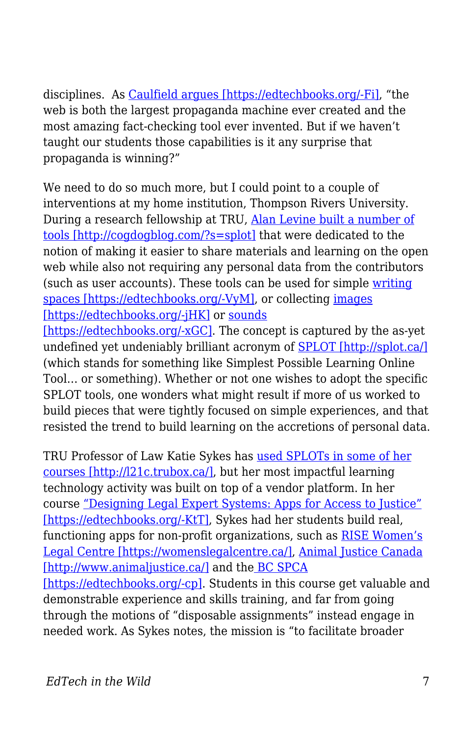disciplines. As [Caulfield argues \[https://edtechbooks.org/-Fi\]](https://webliteracy.pressbooks.com/chapter/chapter-1/), "the web is both the largest propaganda machine ever created and the most amazing fact-checking tool ever invented. But if we haven't taught our students those capabilities is it any surprise that propaganda is winning?"

We need to do so much more, but I could point to a couple of interventions at my home institution, Thompson Rivers University. During a research fellowship at TRU, [Alan Levine built a number of](http://cogdogblog.com/?s=splot) [tools \[http://cogdogblog.com/?s=splot\]](http://cogdogblog.com/?s=splot) that were dedicated to the notion of making it easier to share materials and learning on the open web while also not requiring any personal data from the contributors (such as user accounts). These tools can be used for simple [writing](http://splot.ca/splots/tru-writer/) [spaces \[https://edtechbooks.org/-VyM\],](http://splot.ca/splots/tru-writer/) or collecting [images](http://splot.ca/splots/tru-collector/) [\[https://edtechbooks.org/-jHK\]](http://splot.ca/splots/tru-collector/) or [sounds](http://splot.ca/splots/tru-sounder/)

[\[https://edtechbooks.org/-xGC\].](http://splot.ca/splots/tru-sounder/) The concept is captured by the as-yet undefined yet undeniably brilliant acronym of [SPLOT \[http://splot.ca/\]](http://splot.ca/) (which stands for something like Simplest Possible Learning Online Tool… or something). Whether or not one wishes to adopt the specific SPLOT tools, one wonders what might result if more of us worked to build pieces that were tightly focused on simple experiences, and that resisted the trend to build learning on the accretions of personal data.

TRU Professor of Law Katie Sykes has [used SPLOTs in some of her](http://l21c.trubox.ca/) [courses \[http://l21c.trubox.ca/\]](http://l21c.trubox.ca/), but her most impactful learning technology activity was built on top of a vendor platform. In her course ["Designing Legal Expert Systems: Apps for Access to Justice"](https://inside.tru.ca/2017/04/20/law-students-compete-in-battle-of-the-apps/) [\[https://edtechbooks.org/-KtT\],](https://inside.tru.ca/2017/04/20/law-students-compete-in-battle-of-the-apps/) Sykes had her students build real, functioning apps for non-profit organizations, such as [RISE Women's](https://womenslegalcentre.ca/) [Legal Centre \[https://womenslegalcentre.ca/\]](https://womenslegalcentre.ca/), [Animal Justice Canada](http://www.animaljustice.ca/) [\[http://www.animaljustice.ca/\]](http://www.animaljustice.ca/) and th[e BC SPCA](http://www.spca.bc.ca/?referrer=http://spca.bc.ca/?referrer=https://www.google.ca/) [\[https://edtechbooks.org/-cp\]](http://www.spca.bc.ca/?referrer=http://spca.bc.ca/?referrer=https://www.google.ca/). Students in this course get valuable and demonstrable experience and skills training, and far from going through the motions of "disposable assignments" instead engage in needed work. As Sykes notes, the mission is "to facilitate broader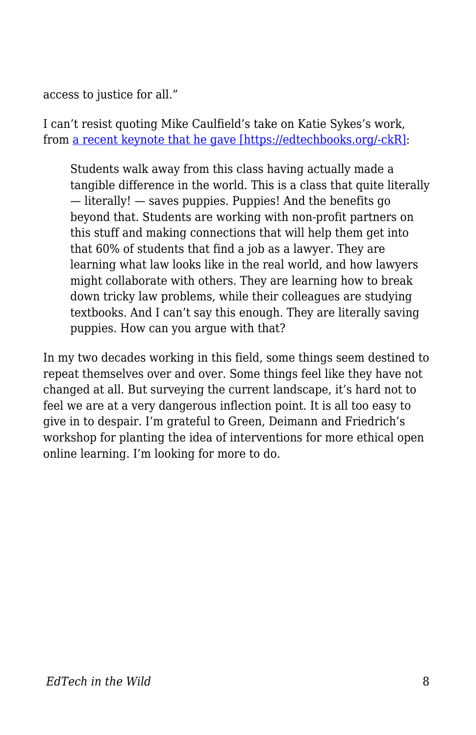access to justice for all."

I can't resist quoting Mike Caulfield's take on Katie Sykes's work, from [a recent keynote that he gave \[https://edtechbooks.org/-ckR\]](https://docs.google.com/document/d/1pZS0VmvYjbkUfZBTlhjmBIK1xvypPmNLxjtJz4pPM2k/edit):

Students walk away from this class having actually made a tangible difference in the world. This is a class that quite literally — literally! — saves puppies. Puppies! And the benefits go beyond that. Students are working with non-profit partners on this stuff and making connections that will help them get into that 60% of students that find a job as a lawyer. They are learning what law looks like in the real world, and how lawyers might collaborate with others. They are learning how to break down tricky law problems, while their colleagues are studying textbooks. And I can't say this enough. They are literally saving puppies. How can you argue with that?

In my two decades working in this field, some things seem destined to repeat themselves over and over. Some things feel like they have not changed at all. But surveying the current landscape, it's hard not to feel we are at a very dangerous inflection point. It is all too easy to give in to despair. I'm grateful to Green, Deimann and Friedrich's workshop for planting the idea of interventions for more ethical open online learning. I'm looking for more to do.